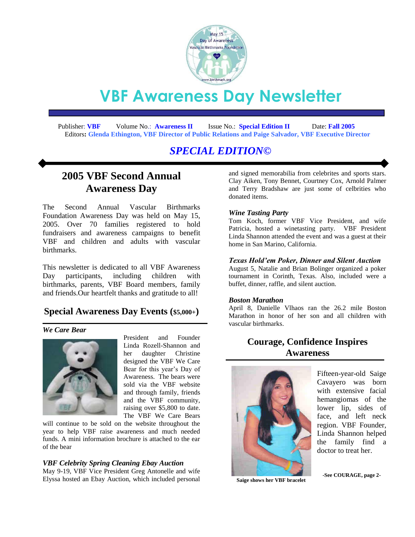

# **VBF Awareness Day Newsletter**

 Publisher: **VBF** Volume No.: **Awareness II** Issue No.: **Special Edition II** Date: **Fall 2005**  Editors**: Glenda Ethington, VBF Director of Public Relations and Paige Salvador, VBF Executive Director**

# *SPECIAL EDITION©*

# **2005 VBF Second Annual Awareness Day**

The Second Annual Vascular Birthmarks Foundation Awareness Day was held on May 15, 2005. Over 70 families registered to hold fundraisers and awareness campaigns to benefit VBF and children and adults with vascular birthmarks.

This newsletter is dedicated to all VBF Awareness Day participants, including children with birthmarks, parents, VBF Board members, family and friends.Our heartfelt thanks and gratitude to all!

### **Special Awareness Day Events (\$5,000+)**

#### *We Care Bear*



President and Founder Linda Rozell-Shannon and her daughter Christine designed the VBF We Care Bear for this year's Day of Awareness. The bears were sold via the VBF website and through family, friends and the VBF community, raising over \$5,800 to date. The VBF We Care Bears

will continue to be sold on the website throughout the year to help VBF raise awareness and much needed funds. A mini information brochure is attached to the ear of the bear

#### *VBF Celebrity Spring Cleaning Ebay Auction*

May 9-19, VBF Vice President Greg Antonelle and wife Elyssa hosted an Ebay Auction, which included personal and signed memorabilia from celebrites and sports stars. Clay Aiken, Tony Bennet, Courtney Cox, Arnold Palmer and Terry Bradshaw are just some of celbrities who donated items.

#### *Wine Tasting Party*

Tom Koch, former VBF Vice President, and wife Patricia, hosted a winetasting party. VBF President Linda Shannon attended the event and was a guest at their home in San Marino, California.

#### *Texas Hold'em Poker, Dinner and Silent Auction*

August 5, Natalie and Brian Bolinger organized a poker tournament in Corinth, Texas. Also, included were a buffet, dinner, raffle, and silent auction.

#### *Boston Marathon*

April 8, Danielle Vlhaos ran the 26.2 mile Boston Marathon in honor of her son and all children with vascular birthmarks.

# **Courage, Confidence Inspires Awareness**



Fifteen-year-old Saige Cavayero was born with extensive facial hemangiomas of the lower lip, sides of face, and left neck region. VBF Founder, Linda Shannon helped the family find a doctor to treat her.

**Saige shows her VBF bracelet**

**-See COURAGE, page 2-**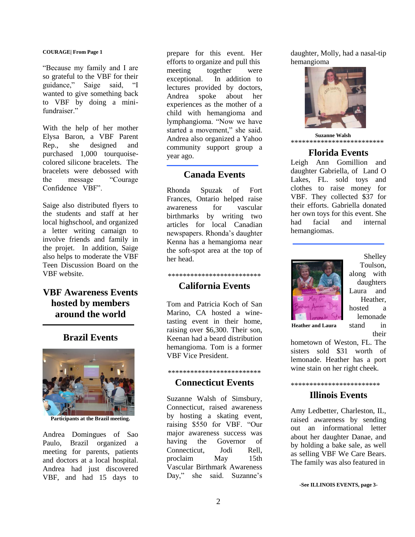#### **COURAGE| From Page 1**

"Because my family and I are so grateful to the VBF for their guidance," Saige said, "I wanted to give something back to VBF by doing a minifundraiser."

With the help of her mother Elysa Baron, a VBF Parent Rep., she designed and purchased 1,000 tourquoisecolored silicone bracelets. The bracelets were debossed with the message "Courage Confidence VBF".

Saige also distributed flyers to the students and staff at her local highschool, and organized a letter writing camaign to involve friends and family in the projet. In addition, Saige also helps to moderate the VBF Teen Discussion Board on the VBF website.

# **VBF Awareness Events hosted by members around the world**

### **Brazil Events**



**Participants at the Brazil meeting.**

Andrea Domingues of Sao Paulo, Brazil organized a meeting for parents, patients and doctors at a local hospital. Andrea had just discovered VBF, and had 15 days to

prepare for this event. Her efforts to organize and pull this meeting together were exceptional. In addition to lectures provided by doctors, Andrea spoke about her experiences as the mother of a child with hemangioma and lymphangioma. "Now we have started a movement," she said. Andrea also organized a Yahoo community support group a year ago.

### **Canada Events**

Rhonda Spuzak of Fort Frances, Ontario helped raise awareness for vascular birthmarks by writing two articles for local Canadian newspapers. Rhonda's daughter Kenna has a hemangioma near the soft-spot area at the top of her head.

### \*\*\*\*\*\*\*\*\*\*\*\*\*\*\*\*\*\*\*\*\*\*\*\*\*

### **California Events**

Tom and Patricia Koch of San Marino, CA hosted a winetasting event in their home, raising over \$6,300. Their son, Keenan had a beard distribution hemangioma. Tom is a former VBF Vice President.

### \*\*\*\*\*\*\*\*\*\*\*\*\*\*\*\*\*\*\*\*\*\*\*\*\* **Connecticut Events**

Suzanne Walsh of Simsbury, Connecticut, raised awareness by hosting a skating event, raising \$550 for VBF. "Our major awareness success was having the Governor of Connecticut, Jodi Rell, proclaim May 15th Vascular Birthmark Awareness Day," she said. Suzanne's

daughter, Molly, had a nasal-tip hemangioma



 **Suzanne Walsh** \*\*\*\*\*\*\*\*\*\*\*\*\*\*\*\*\*\*\*\*\*\*\*\*\*

### **Florida Events**

Leigh Ann Gomillion and daughter Gabriella, of Land O Lakes, FL. sold toys and clothes to raise money for VBF. They collected \$37 for their efforts. Gabriella donated her own toys for this event. She had facial and internal hemangiomas.



Shelley Toulson, along with daughters Laura and Heather, hosted a lemonade stand in their

**Heather and Laura**

hometown of Weston, FL. The sisters sold \$31 worth of lemonade. Heather has a port wine stain on her right cheek.

#### \*\*\*\*\*\*\*\*\*\*\*\*\*\*\*\*\*\*\*\*\*\*\*\*

### **Illinois Events**

Amy Ledbetter, Charleston, IL, raised awareness by sending out an informational letter about her daughter Danae, and by holding a bake sale, as well as selling VBF We Care Bears. The family was also featured in

**-See ILLINOIS EVENTS, page 3-**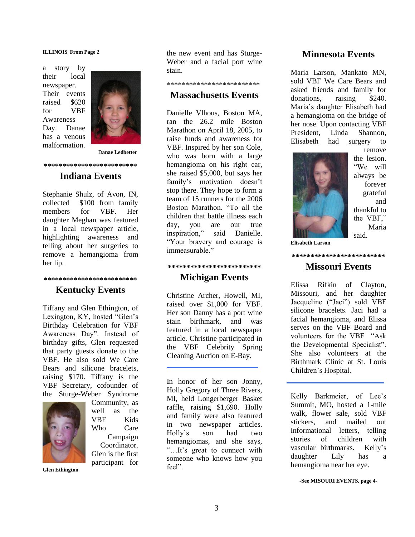#### **ILLINOIS| From Page 2**

a story by their local newspaper. Their events raised \$620 for VBF Awareness Day. Danae has a venous malformation.



D**anae Ledbetter**

#### **\*\*\*\*\*\*\*\*\*\*\*\*\*\*\*\*\*\*\*\*\*\*\*\*\***

### **Indiana Events**

Stephanie Shulz, of Avon, IN, collected \$100 from family members for VBF. Her daughter Meghan was featured in a local newspaper article, highlighting awareness and telling about her surgeries to remove a hemangioma from her lip.

### **\*\*\*\*\*\*\*\*\*\*\*\*\*\*\*\*\*\*\*\*\*\*\*\*\* Kentucky Events**

Tiffany and Glen Ethington, of Lexington, KY, hosted "Glen's Birthday Celebration for VBF Awareness Day". Instead of birthday gifts, Glen requested that party guests donate to the VBF. He also sold We Care Bears and silicone bracelets, raising \$170. Tiffany is the VBF Secretary, cofounder of the Sturge-Weber Syndrome



Community, as well as the VBF Kids Who Care Campaign Coordinator. Glen is the first participant for

**Glen Ethington**

the new event and has Sturge-Weber and a facial port wine stain.

### \*\*\*\*\*\*\*\*\*\*\*\*\*\*\*\*\*\*\*\*\*\*\*\*\*

### **Massachusetts Events**

Danielle Vlhous, Boston MA, ran the 26.2 mile Boston Marathon on April 18, 2005, to raise funds and awareness for VBF. Inspired by her son Cole, who was born with a large hemangioma on his right ear, she raised \$5,000, but says her family's motivation doesn't stop there. They hope to form a team of 15 runners for the 2006 Boston Marathon. "To all the children that battle illness each day, you are our true inspiration," said Danielle. "Your bravery and courage is immeasurable."

#### **\*\*\*\*\*\*\*\*\*\*\*\*\*\*\*\*\*\*\*\*\*\*\*\*\***

### **Michigan Events**

Christine Archer, Howell, MI, raised over \$1,000 for VBF. Her son Danny has a port wine stain birthmark, and was featured in a local newspaper article. Christine participated in the VBF Celebrity Spring Cleaning Auction on E-Bay.

In honor of her son Jonny, Holly Gregory of Three Rivers, MI, held Longerberger Basket raffle, raising \$1,690. Holly and family were also featured in two newspaper articles. Holly's son had two hemangiomas, and she says, "…It's great to connect with someone who knows how you feel".

#### **Minnesota Events**

Maria Larson, Mankato MN, sold VBF We Care Bears and asked friends and family for donations, raising \$240. Maria's daughter Elisabeth had a hemangioma on the bridge of her nose. Upon contacting VBF President, Linda Shannon, Elisabeth had surgery to



remove the lesion. "We will always be forever grateful and thankful to the VBF," Maria said.

**Elisabeth Larson**

### **Missouri Events**

**\*\*\*\*\*\*\*\*\*\*\*\*\*\*\*\*\*\*\*\*\*\*\*\*\***

Elissa Rifkin of Clayton, Missouri, and her daughter Jacqueline ("Jaci") sold VBF silicone bracelets. Jaci had a facial hemangioma, and Elissa serves on the VBF Board and volunteers for the VBF "Ask the Developmental Specialist". She also volunteers at the Birthmark Clinic at St. Louis Children's Hospital.

Kelly Barkmeier, of Lee's Summit, MO, hosted a 1-mile walk, flower sale, sold VBF stickers, and mailed out informational letters, telling stories of children with vascular birthmarks. Kelly's daughter Lily has a hemangioma near her eye.

**-See MISOURI EVENTS, page 4-**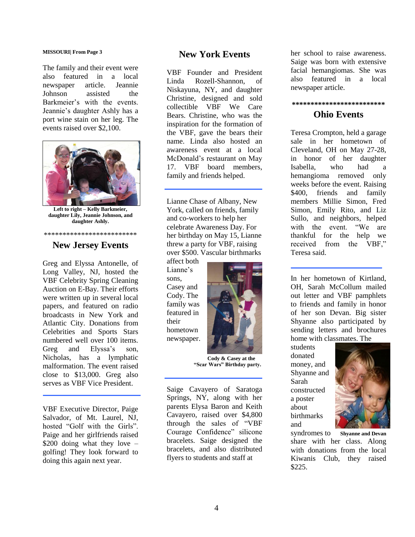#### **MISSOURI| From Page 3**

The family and their event were also featured in a local newspaper article. Jeannie Johnson assisted the Barkmeier's with the events. Jeannie's daughter Ashly has a port wine stain on her leg. The events raised over \$2,100.



**Left to right – Kelly Barkmeier, daughter Lily, Jeannie Johnson, and daughter Ashly.**

#### \*\*\*\*\*\*\*\*\*\*\*\*\*\*\*\*\*\*\*\*\*\*\*\*\*

### **New Jersey Events**

Greg and Elyssa Antonelle, of Long Valley, NJ, hosted the VBF Celebrity Spring Cleaning Auction on E-Bay. Their efforts were written up in several local papers, and featured on radio broadcasts in New York and Atlantic City. Donations from Celebrities and Sports Stars numbered well over 100 items. Greg and Elyssa's son, Nicholas, has a lymphatic malformation. The event raised close to \$13,000. Greg also serves as VBF Vice President.

VBF Executive Director, Paige Salvador, of Mt. Laurel, NJ, hosted "Golf with the Girls". Paige and her girlfriends raised  $$200$  doing what they love – golfing! They look forward to doing this again next year.

### **New York Events**

VBF Founder and President Linda Rozell-Shannon, of Niskayuna, NY, and daughter Christine, designed and sold collectible VBF We Care Bears. Christine, who was the inspiration for the formation of the VBF, gave the bears their name. Linda also hosted an awareness event at a local McDonald's restaurant on May 17. VBF board members, family and friends helped.

Lianne Chase of Albany, New York, called on friends, family and co-workers to help her celebrate Awareness Day. For her birthday on May 15, Lianne threw a party for VBF, raising over \$500. Vascular birthmarks

affect both Lianne's sons, Casey and Cody. The family was featured in their hometown newspaper.



 **Cody & Casey at the "Scar Wars" Birthday party.**

Saige Cavayero of Saratoga Springs, NY, along with her parents Elysa Baron and Keith Cavayero, raised over \$4,800 through the sales of "VBF Courage Confidence" silicone bracelets. Saige designed the bracelets, and also distributed flyers to students and staff at

her school to raise awareness. Saige was born with extensive facial hemangiomas. She was also featured in a local newspaper article.

### **\*\*\*\*\*\*\*\*\*\*\*\*\*\*\*\*\*\*\*\*\*\*\*\*\***

### **Ohio Events**

Teresa Crompton, held a garage sale in her hometown of Cleveland, OH on May 27-28, in honor of her daughter Isabella, who had a hemangioma removed only weeks before the event. Raising \$400, friends and family members Millie Simon, Fred Simon, Emily Rito, and Liz Sullo, and neighbors, helped with the event. "We are thankful for the help we received from the VBF," Teresa said.

In her hometown of Kirtland, OH, Sarah McCollum mailed out letter and VBF pamphlets to friends and family in honor of her son Devan. Big sister Shyanne also participated by sending letters and brochures home with classmates. The

students donated money, and Shyanne and Sarah constructed a poster about birthmarks and



syndromes to **Shyanne and Devan** share with her class. Along with donations from the local Kiwanis Club, they raised \$225.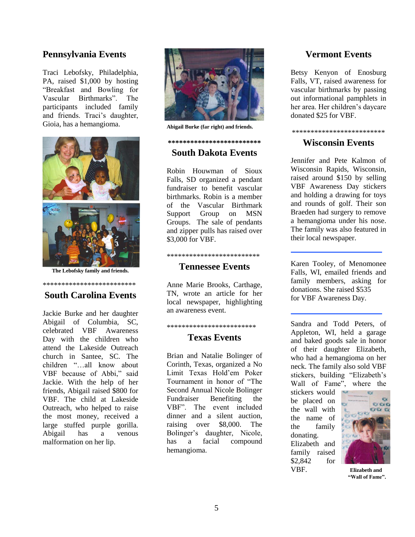### **Pennsylvania Events**

Traci Lebofsky, Philadelphia, PA, raised \$1,000 by hosting "Breakfast and Bowling for Vascular Birthmarks". The participants included family and friends. Traci's daughter, Gioia, has a hemangioma.



**The Lebofsky family and friends.**

### \*\*\*\*\*\*\*\*\*\*\*\*\*\*\*\*\*\*\*\*\*\*\*\*\* **South Carolina Events**

Jackie Burke and her daughter Abigail of Columbia, SC, celebrated VBF Awareness Day with the children who attend the Lakeside Outreach church in Santee, SC. The children "…all know about VBF because of Abbi," said Jackie. With the help of her friends, Abigail raised \$800 for VBF. The child at Lakeside Outreach, who helped to raise the most money, received a large stuffed purple gorilla. Abigail has a venous malformation on her lip.



**Abigail Burke (far right) and friends.**

### **\*\*\*\*\*\*\*\*\*\*\*\*\*\*\*\*\*\*\*\*\*\*\*\*\* South Dakota Events**

Robin Houwman of Sioux Falls, SD organized a pendant fundraiser to benefit vascular birthmarks. Robin is a member of the Vascular Birthmark Support Group on MSN Groups. The sale of pendants and zipper pulls has raised over \$3,000 for VBF.

### \*\*\*\*\*\*\*\*\*\*\*\*\*\*\*\*\*\*\*\*\*\*\*\*\* **Tennessee Events**

Anne Marie Brooks, Carthage, TN, wrote an article for her local newspaper, highlighting an awareness event.

### \*\*\*\*\*\*\*\*\*\*\*\*\*\*\*\*\*\*\*\*\*\*\*\* **Texas Events**

Brian and Natalie Bolinger of Corinth, Texas, organized a No Limit Texas Hold'em Poker Tournament in honor of "The Second Annual Nicole Bolinger Fundraiser Benefiting the VBF". The event included dinner and a silent auction raising over \$8,000. The Bolinger's daughter, Nicole, has a facial compound hemangioma.

### **Vermont Events**

Betsy Kenyon of Enosburg Falls, VT, raised awareness for vascular birthmarks by passing out informational pamphlets in her area. Her children's daycare donated \$25 for VBF.

\*\*\*\*\*\*\*\*\*\*\*\*\*\*\*\*\*\*\*\*\*\*\*\*\*

### **Wisconsin Events**

Jennifer and Pete Kalmon of Wisconsin Rapids, Wisconsin, raised around \$150 by selling VBF Awareness Day stickers and holding a drawing for toys and rounds of golf. Their son Braeden had surgery to remove a hemangioma under his nose. The family was also featured in their local newspaper.

Karen Tooley, of Menomonee Falls, WI, emailed friends and family members, asking for donations. She raised \$535 for VBF Awareness Day.

Sandra and Todd Peters, of Appleton, WI, held a garage and baked goods sale in honor of their daughter Elizabeth, who had a hemangioma on her neck. The family also sold VBF stickers, building "Elizabeth's Wall of Fame", where the

stickers would be placed on the wall with the name of the family donating. Elizabeth and family raised \$2,842 for VBF. **Elizabeth and**



**"Wall of Fame".**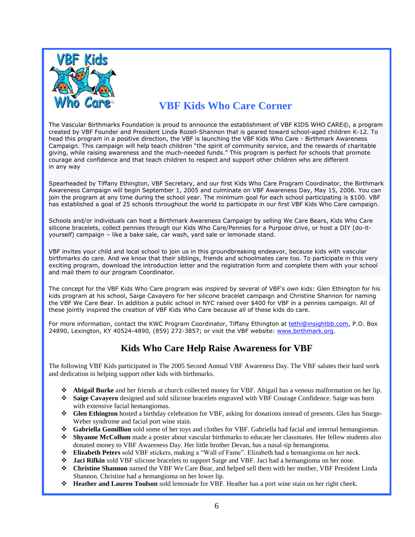

# **VBF Kids Who Care Corner**

The Vascular Birthmarks Foundation is proud to announce the establishment of VBF KIDS WHO CARE©, a program created by VBF Founder and President Linda Rozell-Shannon that is geared toward school-aged children K-12. To head this program in a positive direction, the VBF is launching the VBF Kids Who Care - Birthmark Awareness Campaign. This campaign will help teach children "the spirit of community service, and the rewards of charitable giving, while raising awareness and the much-needed funds." This program is perfect for schools that promote courage and confidence and that teach children to respect and support other children who are different in any way

Spearheaded by Tiffany Ethington, VBF Secretary, and our first Kids Who Care Program Coordinator, the Birthmark Awareness Campaign will begin September 1, 2005 and culminate on VBF Awareness Day, May 15, 2006. You can join the program at any time during the school year. The minimum goal for each school participating is \$100. VBF has established a goal of 25 schools throughout the world to participate in our first VBF Kids Who Care campaign.

Schools and/or individuals can host a Birthmark Awareness Campaign by selling We Care Bears, Kids Who Care silicone bracelets, collect pennies through our Kids Who Care/Pennies for a Purpose drive, or host a DIY (do-ityourself) campaign – like a bake sale, car wash, yard sale or lemonade stand.

VBF invites your child and local school to join us in this groundbreaking endeavor, because kids with vascular birthmarks do care. And we know that their siblings, friends and schoolmates care too. To participate in this very exciting program, download the introduction letter and the registration form and complete them with your school and mail them to our program Coordinator.

The concept for the VBF Kids Who Care program was inspired by several of VBF's own kids: Glen Ethington for his kids program at his school, Saige Cavayero for her silicone bracelet campaign and Christine Shannon for naming the VBF We Care Bear. In addition a public school in NYC raised over \$400 for VBF in a pennies campaign. All of these jointly inspired the creation of VBF Kids Who Care because all of these kids do care.

For more information, contact the KWC Program Coordinator, Tiffany Ethington at [tethi@insightbb.com,](mailto:tethi@insightbb.com) P.O. Box 24890, Lexington, KY 40524-4890, (859) 272-3857; or visit the VBF website: [www.birthmark.org.](http://www.birthmark.org/)

# **Kids Who Care Help Raise Awareness for VBF**

The following VBF Kids participated in The 2005 Second Annual VBF Awareness Day. The VBF salutes their hard work and dedication in helping support other kids with birthmarks.

- **Abigail Burke** and her friends at church collected money for VBF. Abigail has a venous malformation on her lip.
- **Saige Cavayero** designed and sold silicone bracelets engraved with VBF Courage Confidence. Saige was born with extensive facial hemangiomas.
- **Glen Ethington** hosted a birthday celebration for VBF, asking for donations instead of presents. Glen has Sturge-Weber syndrome and facial port wine stain.
- **Gabriella Gomillion** sold some of her toys and clothes for VBF. Gabriella had facial and internal hemangiomas.
- **Shyanne McCollum** made a poster about vascular birthmarks to educate her classmates. Her fellow students also donated money to VBF Awareness Day. Her little brother Devan, has a nasal-tip hemangioma.
- **Elizabeth Peters** sold VBF stickers, making a "Wall of Fame". Elizabeth had a hemangioma on her neck.
- **Jaci Rifkin** sold VBF silicone bracelets to support Saige and VBF. Jaci had a hemangioma on her nose.
- **Christine Shannon** named the VBF We Care Bear, and helped sell them with her mother, VBF President Linda Shannon. Christine had a hemangioma on her lower lip.
- **Heather and Lauren Toulson** sold lemonade for VBF. Heather has a port wine stain on her right cheek.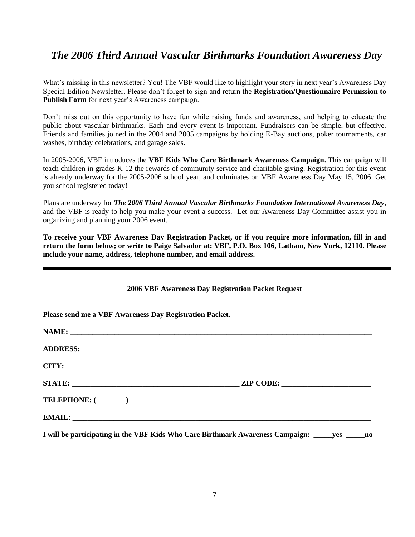# *The 2006 Third Annual Vascular Birthmarks Foundation Awareness Day*

What's missing in this newsletter? You! The VBF would like to highlight your story in next year's Awareness Day Special Edition Newsletter. Please don't forget to sign and return the **Registration/Questionnaire Permission to Publish Form** for next year's Awareness campaign.

Don't miss out on this opportunity to have fun while raising funds and awareness, and helping to educate the public about vascular birthmarks. Each and every event is important. Fundraisers can be simple, but effective. Friends and families joined in the 2004 and 2005 campaigns by holding E-Bay auctions, poker tournaments, car washes, birthday celebrations, and garage sales.

In 2005-2006, VBF introduces the **VBF Kids Who Care Birthmark Awareness Campaign**. This campaign will teach children in grades K-12 the rewards of community service and charitable giving. Registration for this event is already underway for the 2005-2006 school year, and culminates on VBF Awareness Day May 15, 2006. Get you school registered today!

Plans are underway for *The 2006 Third Annual Vascular Birthmarks Foundation International Awareness Day,*  and the VBF is ready to help you make your event a success. Let our Awareness Day Committee assist you in organizing and planning your 2006 event.

**To receive your VBF Awareness Day Registration Packet, or if you require more information, fill in and return the form below; or write to Paige Salvador at: VBF, P.O. Box 106, Latham, New York, 12110. Please include your name, address, telephone number, and email address.**

| 2000 VDF AWAITHESS DAY REGISTRATION FACKEL REQUEST                                              |  |
|-------------------------------------------------------------------------------------------------|--|
| Please send me a VBF Awareness Day Registration Packet.                                         |  |
|                                                                                                 |  |
|                                                                                                 |  |
|                                                                                                 |  |
|                                                                                                 |  |
|                                                                                                 |  |
|                                                                                                 |  |
| I will be participating in the VBF Kids Who Care Birthmark Awareness Campaign: _____yes _____no |  |

**2006 VBF Awareness Day Registration Packet Request**